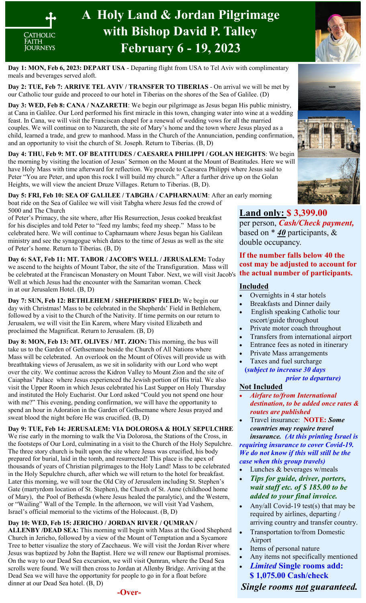

# **A Holy Land & Jordan Pilgrimage with Bishop David P. Talley February 6 - 19, 2023**

**Day 1: MON, Feb 6, 2023: DEPART USA** - Departing flight from USA to Tel Aviv with complimentary meals and beverages served aloft.

Day 2: TUE, Feb 7: ARRIVE TEL AVIV / TRANSFER TO TIBERIAS - On arrival we will be met by our Catholic tour guide and proceed to our hotel in Tiberias on the shores of the Sea of Galilee. (D)

**Day 3: WED, Feb 8: CANA / NAZARETH**: We begin our pilgrimage as Jesus began His public ministry, at Cana in Galilee. Our Lord performed his first miracle in this town, changing water into wine at a wedding feast. In Cana, we will visit the Franciscan chapel for a renewal of wedding vows for all the married couples. We will continue on to Nazareth, the site of Mary's home and the town where Jesus played as a child, learned a trade, and grew to manhood. Mass in the Church of the Annunciation, pending confirmation, and an opportunity to visit the church of St. Joseph. Return to Tiberias. (B, D)

**Day 4: THU, Feb 9: MT. OF BEATITUDES / CAESAREA PHILIPPI / GOLAN HEIGHTS**: We begin the morning by visiting the location of Jesus' Sermon on the Mount at the Mount of Beatitudes. Here we will have Holy Mass with time afterward for reflection. We precede to Caesarea Philippi where Jesus said to Peter "You are Peter, and upon this rock I will build my church." After a further drive up on the Golan Heights, we will view the ancient Druze Villages. Return to Tiberias. (B, D).

**Day 5: FRI, Feb 10: SEA OF GALILEE / TABGHA / CAPHARNAUM**: After an early morning boat ride on the Sea of Galilee we will visit Tabgha where Jesus fed the crowd of 5000 and The Church

of Peter's Primacy, the site where, after His Resurrection, Jesus cooked breakfast for his disciples and told Peter to "feed my lambs; feed my sheep." Mass to be celebrated here. We will continue to Capharnaum where Jesus began his Galilean ministry and see the synagogue which dates to the time of Jesus as well as the site of Peter's home. Return to Tiberias. (B, D)

**Day 6: SAT, Feb 11: MT. TABOR / JACOB'S WELL / JERUSALEM:** Today we ascend to the heights of Mount Tabor, the site of the Transfiguration. Mass will be celebrated at the Franciscan Monastery on Mount Tabor. Next, we will visit Jacob's Well at which Jesus had the encounter with the Samaritan woman. Check in at our Jerusalem Hotel. (B, D)

**Day 7: SUN, Feb 12: BETHLEHEM / SHEPHERDS' FIELD:** We begin our day with Christmas! Mass to be celebrated in the Shepherds' Field in Bethlehem, followed by a visit to the Church of the Nativity. If time permits on our return to Jerusalem, we will visit the Ein Karem, where Mary visited Elizabeth and proclaimed the Magnificat. Return to Jerusalem. (B, D)

**Day 8: MON, Feb 13: MT. OLIVES / MT. ZION:** This morning, the bus will take us to the Garden of Gethsemane beside the Church of All Nations where Mass will be celebrated. An overlook on the Mount of Olives will provide us with breathtaking views of Jerusalem, as we sit in solidarity with our Lord who wept over the city. We continue across the Kidron Valley to Mount Zion and the site of Caiaphas' Palace where Jesus experienced the Jewish portion of His trial. We also visit the Upper Room in which Jesus celebrated his Last Supper on Holy Thursday and instituted the Holy Eucharist. Our Lord asked "Could you not spend one hour with me?" This evening, pending confirmation, we will have the opportunity to spend an hour in Adoration in the Garden of Gethsemane where Jesus prayed and sweat blood the night before He was crucified. (B, D)

**Day 9: TUE, Feb 14: JERUSALEM: VIA DOLOROSA & HOLY SEPULCHRE** We rise early in the morning to walk the Via Dolorosa, the Stations of the Cross, in the footsteps of Our Lord, culminating in a visit to the Church of the Holy Sepulchre. The three story church is built upon the site where Jesus was crucified, his body prepared for burial, laid in the tomb, and resurrected! This place is the apex of thousands of years of Christian pilgrimages to the Holy Land! Mass to be celebrated in the Holy Sepulchre church, after which we will return to the hotel for breakfast. Later this morning, we will tour the Old City of Jerusalem including St. Stephen's Gate (martyrdom location of St. Stephen), the Church of St. Anne (childhood home of Mary), the Pool of Bethesda (where Jesus healed the paralytic), and the Western, or "Wailing" Wall of the Temple. In the afternoon, we will visit Yad Vashem, Israel's official memorial to the victims of the Holocaust. (B, D)

#### **Day 10: WED, Feb 15: JERICHO / JORDAN RIVER / QUMRAN /**

**ALLENBY /DEAD SEA:** This morning will begin with Mass at the Good Shepherd Church in Jericho, followed by a view of the Mount of Temptation and a Sycamore Tree to better visualize the story of Zacchaeus. We will visit the Jordan River where Jesus was baptized by John the Baptist. Here we will renew our Baptismal promises. On the way to our Dead Sea excursion, we will visit Qumran, where the Dead Sea scrolls were found. We will then cross to Jordan at Allenby Bridge. Arriving at the Dead Sea we will have the opportunity for people to go in for a float before dinner at our Dead Sea hotel. (B, D)







## **Land only: \$ 3,399.00**

per person, *Cash/Check payment,*  based on \* *40* participants, & double occupancy.

**If the number falls below 40 the cost may be adjusted to account for the actual number of participants.**

#### **Included**

- Overnights in 4 star hotels
- Breakfasts and Dinner daily
- English speaking Catholic tour escort/guide throughout
- Private motor coach throughout
- Transfers from international airport
- Entrance fees as noted in itinerary
- Private Mass arrangements
- Taxes and fuel surcharge **(***subject to increase 30 days*

 *prior to departure)*

#### **Not Included**

- *Airfare to/from International destination, to be added once rates & routes are published*
- Travel insurance: **NOTE:** *Some countries may require travel insurance. (At this printing Israel is requiring insurance to cover Covid-19. We do not know if this will still be the case when this group travels)*
- Lunches & beverages w/meals
- *Tips for guide, driver, porters, wait staff etc. of \$ 185.00 to be added to your final invoice.*
- Any/all Covid-19 test(s) that may be required by airlines, departing / arriving country and transfer country.
- Transportation to/from Domestic Airport
- Items of personal nature
- Any items not specifically mentioned
- *Limited* **Single rooms add: \$ 1,075.00 Cash/check**

*Single rooms not guaranteed.*